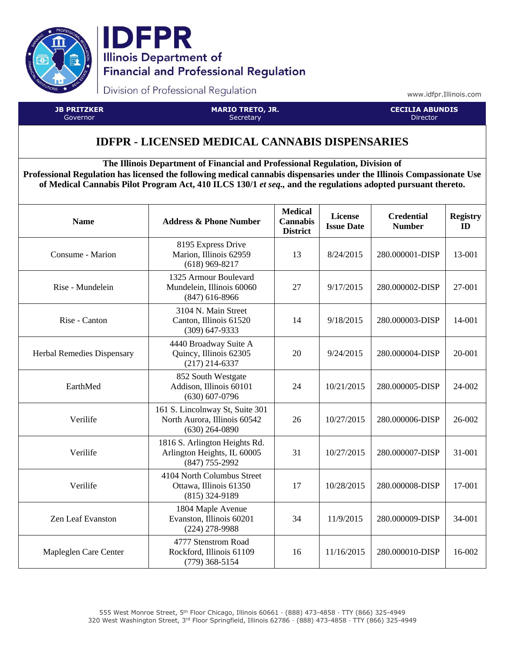



Division of Professional Regulation

www.idfpr.Illinois.com

**JB PRITZKER** Governor

**MARIO TRETO, JR. Secretary** 

**CECILIA ABUNDIS** Director

## **IDFPR - LICENSED MEDICAL CANNABIS DISPENSARIES**

**The Illinois Department of Financial and Professional Regulation, Division of Professional Regulation has licensed the following medical cannabis dispensaries under the Illinois Compassionate Use of Medical Cannabis Pilot Program Act, 410 ILCS 130/1** *et seq.,* **and the regulations adopted pursuant thereto.**

| <b>Name</b>                       | <b>Address &amp; Phone Number</b>                                                   | <b>Medical</b><br><b>Cannabis</b><br><b>District</b> | License<br><b>Issue Date</b> | <b>Credential</b><br><b>Number</b> | <b>Registry</b><br>ID |
|-----------------------------------|-------------------------------------------------------------------------------------|------------------------------------------------------|------------------------------|------------------------------------|-----------------------|
| Consume - Marion                  | 8195 Express Drive<br>Marion, Illinois 62959<br>$(618)$ 969-8217                    | 13                                                   | 8/24/2015                    | 280.000001-DISP                    | 13-001                |
| Rise - Mundelein                  | 1325 Armour Boulevard<br>Mundelein, Illinois 60060<br>$(847)$ 616-8966              | 27                                                   | 9/17/2015                    | 280.000002-DISP                    | 27-001                |
| Rise - Canton                     | 3104 N. Main Street<br>Canton, Illinois 61520<br>$(309)$ 647-9333                   | 14                                                   | 9/18/2015                    | 280.000003-DISP                    | 14-001                |
| <b>Herbal Remedies Dispensary</b> | 4440 Broadway Suite A<br>Quincy, Illinois 62305<br>$(217)$ 214-6337                 | 20                                                   | 9/24/2015                    | 280.000004-DISP                    | 20-001                |
| EarthMed                          | 852 South Westgate<br>Addison, Illinois 60101<br>$(630) 607 - 0796$                 | 24                                                   | 10/21/2015                   | 280.000005-DISP                    | 24-002                |
| Verilife                          | 161 S. Lincolnway St, Suite 301<br>North Aurora, Illinois 60542<br>$(630)$ 264-0890 | 26                                                   | 10/27/2015                   | 280.000006-DISP                    | 26-002                |
| Verilife                          | 1816 S. Arlington Heights Rd.<br>Arlington Heights, IL 60005<br>(847) 755-2992      | 31                                                   | 10/27/2015                   | 280.000007-DISP                    | 31-001                |
| Verilife                          | 4104 North Columbus Street<br>Ottawa, Illinois 61350<br>$(815)$ 324-9189            | 17                                                   | 10/28/2015                   | 280.000008-DISP                    | 17-001                |
| Zen Leaf Evanston                 | 1804 Maple Avenue<br>Evanston, Illinois 60201<br>$(224)$ 278-9988                   | 34                                                   | 11/9/2015                    | 280.000009-DISP                    | 34-001                |
| Mapleglen Care Center             | 4777 Stenstrom Road<br>Rockford, Illinois 61109<br>$(779)$ 368-5154                 | 16                                                   | 11/16/2015                   | 280.000010-DISP                    | 16-002                |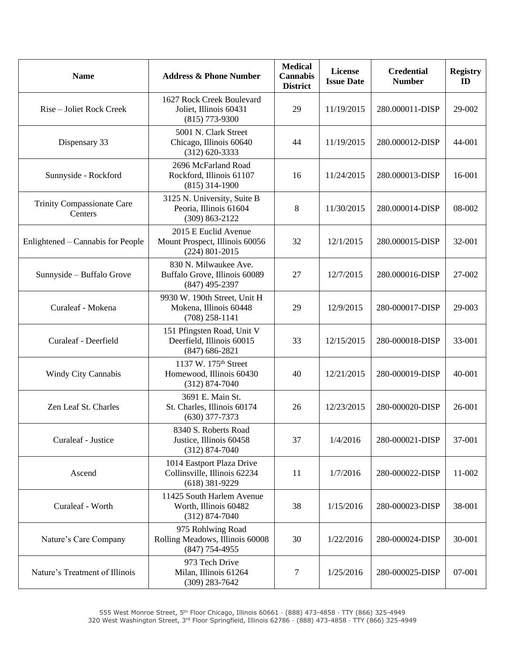| <b>Name</b>                           | <b>Address &amp; Phone Number</b>                                                  | <b>Medical</b><br><b>Cannabis</b><br><b>District</b> | License<br><b>Issue Date</b> | <b>Credential</b><br><b>Number</b> | <b>Registry</b><br>ID |
|---------------------------------------|------------------------------------------------------------------------------------|------------------------------------------------------|------------------------------|------------------------------------|-----------------------|
| Rise – Joliet Rock Creek              | 1627 Rock Creek Boulevard<br>Joliet, Illinois 60431<br>$(815)$ 773-9300            | 29                                                   | 11/19/2015                   | 280.000011-DISP                    | 29-002                |
| Dispensary 33                         | 5001 N. Clark Street<br>Chicago, Illinois 60640<br>$(312)$ 620-3333                | 44                                                   | 11/19/2015                   | 280.000012-DISP                    | 44-001                |
| Sunnyside - Rockford                  | 2696 McFarland Road<br>Rockford, Illinois 61107<br>$(815)$ 314-1900                | 16                                                   | 11/24/2015                   | 280.000013-DISP                    | 16-001                |
| Trinity Compassionate Care<br>Centers | 3125 N. University, Suite B<br>Peoria, Illinois 61604<br>$(309) 863 - 2122$        | 8                                                    | 11/30/2015                   | 280.000014-DISP                    | 08-002                |
| Enlightened – Cannabis for People     | 2015 E Euclid Avenue<br>Mount Prospect, Illinois 60056<br>$(224)$ 801-2015         | 32                                                   | 12/1/2015                    | 280.000015-DISP                    | 32-001                |
| Sunnyside - Buffalo Grove             | 830 N. Milwaukee Ave.<br>Buffalo Grove, Illinois 60089<br>$(847)$ 495-2397         | 27                                                   | 12/7/2015                    | 280.000016-DISP                    | 27-002                |
| Curaleaf - Mokena                     | 9930 W. 190th Street, Unit H<br>Mokena, Illinois 60448<br>$(708)$ 258-1141         | 29                                                   | 12/9/2015                    | 280-000017-DISP                    | 29-003                |
| Curaleaf - Deerfield                  | 151 Pfingsten Road, Unit V<br>Deerfield, Illinois 60015<br>$(847) 686 - 2821$      | 33                                                   | 12/15/2015                   | 280-000018-DISP                    | 33-001                |
| <b>Windy City Cannabis</b>            | 1137 W. 175 <sup>th</sup> Street<br>Homewood, Illinois 60430<br>$(312) 874 - 7040$ | 40                                                   | 12/21/2015                   | 280-000019-DISP                    | 40-001                |
| Zen Leaf St. Charles                  | 3691 E. Main St.<br>St. Charles, Illinois 60174<br>$(630)$ 377-7373                | 26                                                   | 12/23/2015                   | 280-000020-DISP                    | 26-001                |
| Curaleaf - Justice                    | 8340 S. Roberts Road<br>Justice, Illinois 60458<br>$(312) 874 - 7040$              | 37                                                   | 1/4/2016                     | 280-000021-DISP                    | 37-001                |
| Ascend                                | 1014 Eastport Plaza Drive<br>Collinsville, Illinois 62234<br>$(618)$ 381-9229      | 11                                                   | 1/7/2016                     | 280-000022-DISP                    | 11-002                |
| Curaleaf - Worth                      | 11425 South Harlem Avenue<br>Worth, Illinois 60482<br>$(312) 874 - 7040$           | 38                                                   | 1/15/2016                    | 280-000023-DISP                    | 38-001                |
| Nature's Care Company                 | 975 Rohlwing Road<br>Rolling Meadows, Illinois 60008<br>$(847)$ 754-4955           | 30                                                   | 1/22/2016                    | 280-000024-DISP                    | 30-001                |
| Nature's Treatment of Illinois        | 973 Tech Drive<br>Milan, Illinois 61264<br>$(309)$ 283-7642                        | 7                                                    | 1/25/2016                    | 280-000025-DISP                    | 07-001                |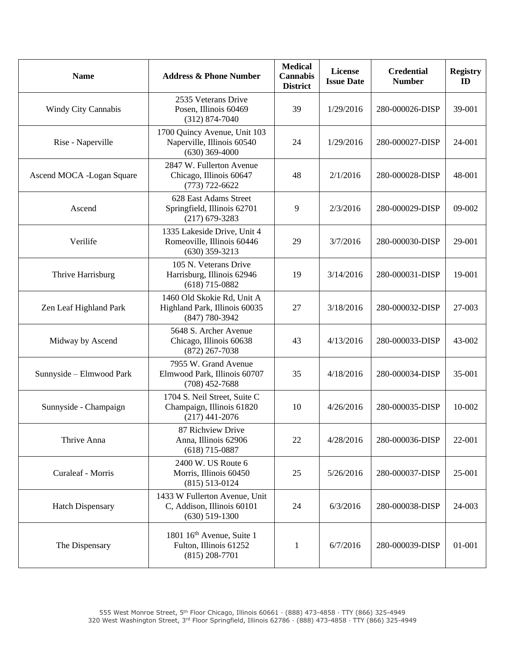| <b>Name</b>                | <b>Address &amp; Phone Number</b>                                                   | <b>Medical</b><br><b>Cannabis</b><br><b>District</b> | License<br><b>Issue Date</b> | <b>Credential</b><br><b>Number</b> | <b>Registry</b><br>ID |
|----------------------------|-------------------------------------------------------------------------------------|------------------------------------------------------|------------------------------|------------------------------------|-----------------------|
| <b>Windy City Cannabis</b> | 2535 Veterans Drive<br>Posen, Illinois 60469<br>$(312) 874 - 7040$                  | 39                                                   | 1/29/2016                    | 280-000026-DISP                    | 39-001                |
| Rise - Naperville          | 1700 Quincy Avenue, Unit 103<br>Naperville, Illinois 60540<br>$(630)$ 369-4000      | 24                                                   | 1/29/2016                    | 280-000027-DISP                    | 24-001                |
| Ascend MOCA -Logan Square  | 2847 W. Fullerton Avenue<br>Chicago, Illinois 60647<br>$(773) 722 - 6622$           | 48                                                   | 2/1/2016                     | 280-000028-DISP                    | 48-001                |
| Ascend                     | 628 East Adams Street<br>Springfield, Illinois 62701<br>$(217)$ 679-3283            | 9                                                    | 2/3/2016                     | 280-000029-DISP                    | 09-002                |
| Verilife                   | 1335 Lakeside Drive, Unit 4<br>Romeoville, Illinois 60446<br>$(630)$ 359-3213       | 29                                                   | 3/7/2016                     | 280-000030-DISP                    | 29-001                |
| Thrive Harrisburg          | 105 N. Veterans Drive<br>Harrisburg, Illinois 62946<br>$(618)$ 715-0882             | 19                                                   | 3/14/2016                    | 280-000031-DISP                    | 19-001                |
| Zen Leaf Highland Park     | 1460 Old Skokie Rd, Unit A<br>Highland Park, Illinois 60035<br>(847) 780-3942       | 27                                                   | 3/18/2016                    | 280-000032-DISP                    | 27-003                |
| Midway by Ascend           | 5648 S. Archer Avenue<br>Chicago, Illinois 60638<br>$(872)$ 267-7038                | 43                                                   | 4/13/2016                    | 280-000033-DISP                    | 43-002                |
| Sunnyside - Elmwood Park   | 7955 W. Grand Avenue<br>Elmwood Park, Illinois 60707<br>$(708)$ 452-7688            | 35                                                   | 4/18/2016                    | 280-000034-DISP                    | 35-001                |
| Sunnyside - Champaign      | 1704 S. Neil Street, Suite C<br>Champaign, Illinois 61820<br>$(217)$ 441-2076       | 10                                                   | 4/26/2016                    | 280-000035-DISP                    | 10-002                |
| Thrive Anna                | 87 Richview Drive<br>Anna, Illinois 62906<br>$(618)$ 715-0887                       | 22                                                   | 4/28/2016                    | 280-000036-DISP                    | 22-001                |
| Curaleaf - Morris          | 2400 W. US Route 6<br>Morris, Illinois 60450<br>$(815) 513 - 0124$                  | 25                                                   | 5/26/2016                    | 280-000037-DISP                    | 25-001                |
| <b>Hatch Dispensary</b>    | 1433 W Fullerton Avenue, Unit<br>C, Addison, Illinois 60101<br>$(630)$ 519-1300     | 24                                                   | 6/3/2016                     | 280-000038-DISP                    | 24-003                |
| The Dispensary             | 1801 16 <sup>th</sup> Avenue, Suite 1<br>Fulton, Illinois 61252<br>$(815)$ 208-7701 | $\mathbf{1}$                                         | 6/7/2016                     | 280-000039-DISP                    | 01-001                |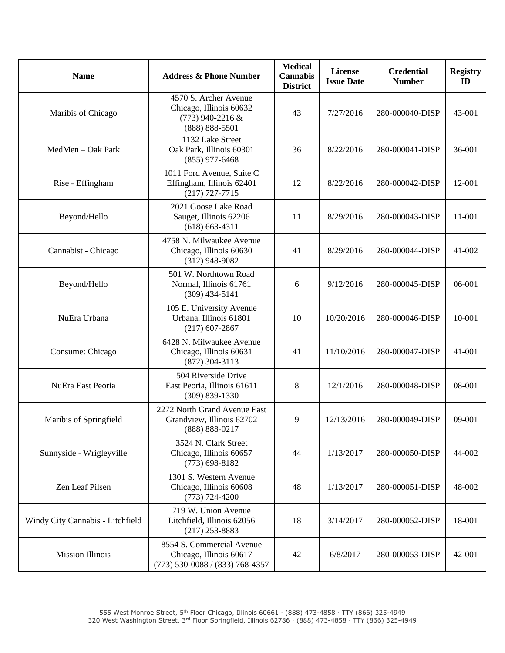| <b>Name</b>                      | <b>Address &amp; Phone Number</b>                                                            | <b>Medical</b><br><b>Cannabis</b><br><b>District</b> | <b>License</b><br><b>Issue Date</b> | <b>Credential</b><br><b>Number</b> | <b>Registry</b><br>ID |
|----------------------------------|----------------------------------------------------------------------------------------------|------------------------------------------------------|-------------------------------------|------------------------------------|-----------------------|
| Maribis of Chicago               | 4570 S. Archer Avenue<br>Chicago, Illinois 60632<br>$(773)$ 940-2216 &<br>$(888) 888 - 5501$ | 43                                                   | 7/27/2016                           | 280-000040-DISP                    | 43-001                |
| MedMen - Oak Park                | 1132 Lake Street<br>Oak Park, Illinois 60301<br>$(855)$ 977-6468                             | 36                                                   | 8/22/2016                           | 280-000041-DISP                    | 36-001                |
| Rise - Effingham                 | 1011 Ford Avenue, Suite C<br>Effingham, Illinois 62401<br>$(217)$ 727-7715                   | 12                                                   | 8/22/2016                           | 280-000042-DISP                    | 12-001                |
| Beyond/Hello                     | 2021 Goose Lake Road<br>Sauget, Illinois 62206<br>$(618) 663 - 4311$                         | 11                                                   | 8/29/2016                           | 280-000043-DISP                    | 11-001                |
| Cannabist - Chicago              | 4758 N. Milwaukee Avenue<br>Chicago, Illinois 60630<br>$(312)$ 948-9082                      | 41                                                   | 8/29/2016                           | 280-000044-DISP                    | 41-002                |
| Beyond/Hello                     | 501 W. Northtown Road<br>Normal, Illinois 61761<br>$(309)$ 434-5141                          | 6                                                    | 9/12/2016                           | 280-000045-DISP                    | 06-001                |
| NuEra Urbana                     | 105 E. University Avenue<br>Urbana, Illinois 61801<br>$(217)$ 607-2867                       | 10                                                   | 10/20/2016                          | 280-000046-DISP                    | 10-001                |
| Consume: Chicago                 | 6428 N. Milwaukee Avenue<br>Chicago, Illinois 60631<br>$(872)$ 304-3113                      | 41                                                   | 11/10/2016                          | 280-000047-DISP                    | 41-001                |
| NuEra East Peoria                | 504 Riverside Drive<br>East Peoria, Illinois 61611<br>$(309) 839 - 1330$                     | 8                                                    | 12/1/2016                           | 280-000048-DISP                    | 08-001                |
| Maribis of Springfield           | 2272 North Grand Avenue East<br>Grandview, Illinois 62702<br>(888) 888-0217                  | 9                                                    | 12/13/2016                          | 280-000049-DISP                    | 09-001                |
| Sunnyside - Wrigleyville         | 3524 N. Clark Street<br>Chicago, Illinois 60657<br>$(773)$ 698-8182                          | 44                                                   | 1/13/2017                           | 280-000050-DISP                    | 44-002                |
| Zen Leaf Pilsen                  | 1301 S. Western Avenue<br>Chicago, Illinois 60608<br>$(773) 724 - 4200$                      | 48                                                   | 1/13/2017                           | 280-000051-DISP                    | 48-002                |
| Windy City Cannabis - Litchfield | 719 W. Union Avenue<br>Litchfield, Illinois 62056<br>$(217)$ 253-8883                        | 18                                                   | 3/14/2017                           | 280-000052-DISP                    | 18-001                |
| <b>Mission Illinois</b>          | 8554 S. Commercial Avenue<br>Chicago, Illinois 60617<br>(773) 530-0088 / (833) 768-4357      | 42                                                   | 6/8/2017                            | 280-000053-DISP                    | 42-001                |